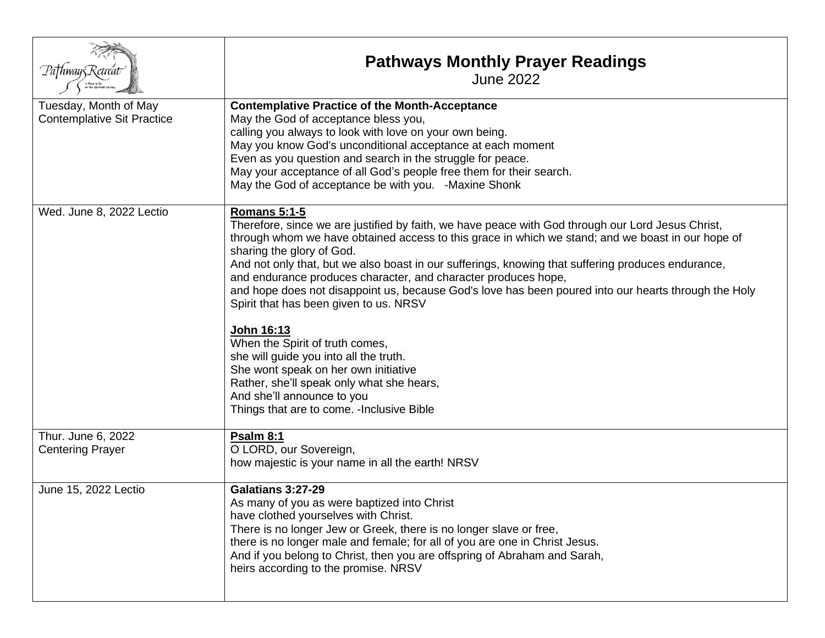| Pa†hway5Retreat                                            | <b>Pathways Monthly Prayer Readings</b><br><b>June 2022</b>                                                                                                                                                                                                                                                                                                                                                                                                                                                                                                                                                                                                                                                                                                                                                                                      |
|------------------------------------------------------------|--------------------------------------------------------------------------------------------------------------------------------------------------------------------------------------------------------------------------------------------------------------------------------------------------------------------------------------------------------------------------------------------------------------------------------------------------------------------------------------------------------------------------------------------------------------------------------------------------------------------------------------------------------------------------------------------------------------------------------------------------------------------------------------------------------------------------------------------------|
| Tuesday, Month of May<br><b>Contemplative Sit Practice</b> | <b>Contemplative Practice of the Month-Acceptance</b><br>May the God of acceptance bless you,<br>calling you always to look with love on your own being.<br>May you know God's unconditional acceptance at each moment<br>Even as you question and search in the struggle for peace.<br>May your acceptance of all God's people free them for their search.<br>May the God of acceptance be with you. - Maxine Shonk                                                                                                                                                                                                                                                                                                                                                                                                                             |
| Wed. June 8, 2022 Lectio                                   | <b>Romans 5:1-5</b><br>Therefore, since we are justified by faith, we have peace with God through our Lord Jesus Christ,<br>through whom we have obtained access to this grace in which we stand; and we boast in our hope of<br>sharing the glory of God.<br>And not only that, but we also boast in our sufferings, knowing that suffering produces endurance,<br>and endurance produces character, and character produces hope,<br>and hope does not disappoint us, because God's love has been poured into our hearts through the Holy<br>Spirit that has been given to us. NRSV<br>John 16:13<br>When the Spirit of truth comes,<br>she will guide you into all the truth.<br>She wont speak on her own initiative<br>Rather, she'll speak only what she hears,<br>And she'll announce to you<br>Things that are to come. - Inclusive Bible |
| Thur. June 6, 2022<br><b>Centering Prayer</b>              | Psalm 8:1<br>O LORD, our Sovereign,<br>how majestic is your name in all the earth! NRSV                                                                                                                                                                                                                                                                                                                                                                                                                                                                                                                                                                                                                                                                                                                                                          |
| June 15, 2022 Lectio                                       | Galatians 3:27-29<br>As many of you as were baptized into Christ<br>have clothed yourselves with Christ.<br>There is no longer Jew or Greek, there is no longer slave or free,<br>there is no longer male and female; for all of you are one in Christ Jesus.<br>And if you belong to Christ, then you are offspring of Abraham and Sarah,<br>heirs according to the promise. NRSV                                                                                                                                                                                                                                                                                                                                                                                                                                                               |